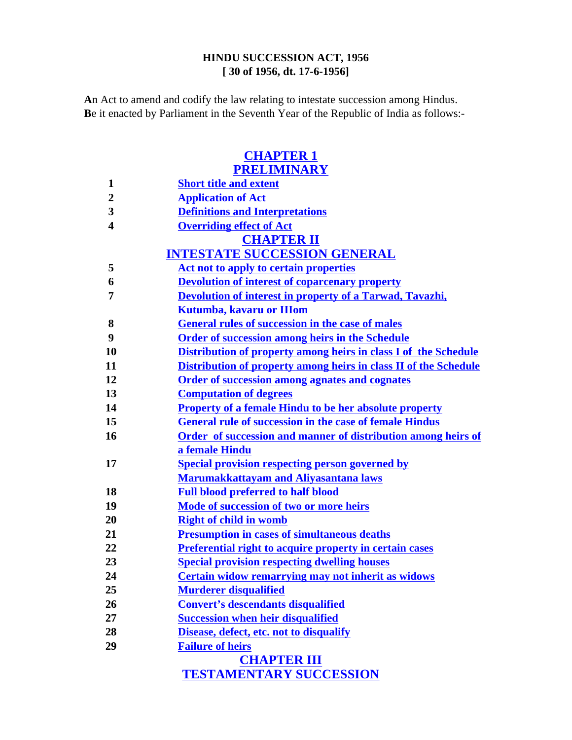## **HINDU SUCCESSION ACT, 1956 [ 30 of 1956, dt. 17-6-1956]**

**A**n Act to amend and codify the law relating to intestate succession among Hindus. **B**e it enacted by Parliament in the Seventh Year of the Republic of India as follows:-

# **CHAPTER 1 PRELIMINARY 1 Short title and extent 2 Application of Act 3 Definitions and Interpretations 4 Overriding effect of Act CHAPTER II INTESTATE SUCCESSION GENERAL 5 Act not to apply to certain properties 6 Devolution of interest of coparcenary property 7 Devolution of interest in property of a Tarwad, Tavazhi, Kutumba, kavaru or IIIom 8 General rules of succession in the case of males 9 Order of succession among heirs in the Schedule 10 Distribution of property among heirs in class I of the Schedule 11 Distribution of property among heirs in class II of the Schedule 12 Order of succession among agnates and cognates 13 Computation of degrees 14 Property of a female Hindu to be her absolute property 15 General rule of succession in the case of female Hindus 16 Order of succession and manner of distribution among heirs of a female Hindu 17 Special provision respecting person governed by Marumakkattayam and Aliyasantana laws 18 Full blood preferred to half blood 19 Mode of succession of two or more heirs 20 Right of child in womb 21 Presumption in cases of simultaneous deaths 22 Preferential right to acquire property in certain cases 23 Special provision respecting dwelling houses 24 Certain widow remarrying may not inherit as widows 25 Murderer disqualified 26 Convert's descendants disqualified 27 Succession when heir disqualified**

- **28 Disease, defect, etc. not to disqualify**
- **29 Failure of heirs**

**CHAPTER III TESTAMENTARY SUCCESSION**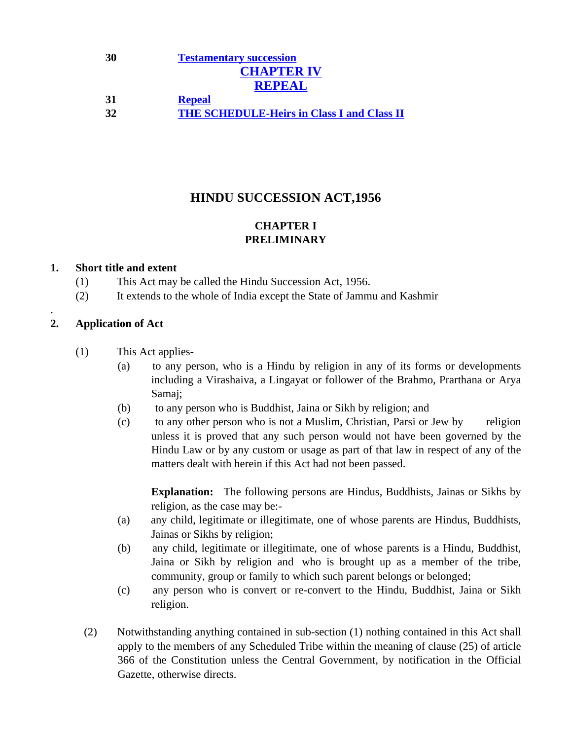# **30 Testamentary succession CHAPTER IV REPEAL 31 Repeal 32 THE SCHEDULE-Heirs in Class I and Class II**

# **HINDU SUCCESSION ACT,1956**

# **CHAPTER I PRELIMINARY**

## **1. Short title and extent**

- (1) This Act may be called the Hindu Succession Act, 1956.
- (2) It extends to the whole of India except the State of Jammu and Kashmir

## **2. Application of Act**

.

- (1) This Act applies-
	- (a) to any person, who is a Hindu by religion in any of its forms or developments including a Virashaiva, a Lingayat or follower of the Brahmo, Prarthana or Arya Samaj;
	- (b) to any person who is Buddhist, Jaina or Sikh by religion; and
	- (c) to any other person who is not a Muslim, Christian, Parsi or Jew by religion unless it is proved that any such person would not have been governed by the Hindu Law or by any custom or usage as part of that law in respect of any of the matters dealt with herein if this Act had not been passed.

**Explanation:** The following persons are Hindus, Buddhists, Jainas or Sikhs by religion, as the case may be:-

- (a) any child, legitimate or illegitimate, one of whose parents are Hindus, Buddhists, Jainas or Sikhs by religion;
- (b) any child, legitimate or illegitimate, one of whose parents is a Hindu, Buddhist, Jaina or Sikh by religion and who is brought up as a member of the tribe, community, group or family to which such parent belongs or belonged;
- (c) any person who is convert or re-convert to the Hindu, Buddhist, Jaina or Sikh religion.
- (2) Notwithstanding anything contained in sub-section (1) nothing contained in this Act shall apply to the members of any Scheduled Tribe within the meaning of clause (25) of article 366 of the Constitution unless the Central Government, by notification in the Official Gazette, otherwise directs.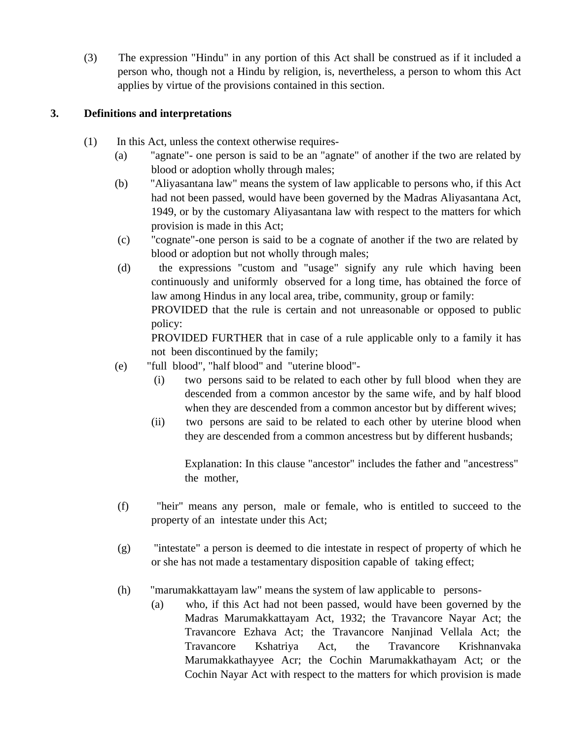(3) The expression "Hindu" in any portion of this Act shall be construed as if it included a person who, though not a Hindu by religion, is, nevertheless, a person to whom this Act applies by virtue of the provisions contained in this section.

# **3. Definitions and interpretations**

- (1) In this Act, unless the context otherwise requires-
	- (a) "agnate"- one person is said to be an "agnate" of another if the two are related by blood or adoption wholly through males;
	- (b) "Aliyasantana law" means the system of law applicable to persons who, if this Act had not been passed, would have been governed by the Madras Aliyasantana Act, 1949, or by the customary Aliyasantana law with respect to the matters for which provision is made in this Act;
	- (c) "cognate"-one person is said to be a cognate of another if the two are related by blood or adoption but not wholly through males;
	- (d) the expressions "custom and "usage" signify any rule which having been continuously and uniformly observed for a long time, has obtained the force of law among Hindus in any local area, tribe, community, group or family: PROVIDED that the rule is certain and not unreasonable or opposed to public policy:

PROVIDED FURTHER that in case of a rule applicable only to a family it has not been discontinued by the family;

- (e) "full blood", "half blood" and "uterine blood"-
	- (i) two persons said to be related to each other by full blood when they are descended from a common ancestor by the same wife, and by half blood when they are descended from a common ancestor but by different wives;
	- (ii) two persons are said to be related to each other by uterine blood when they are descended from a common ancestress but by different husbands;

Explanation: In this clause "ancestor" includes the father and "ancestress" the mother,

- (f) "heir" means any person, male or female, who is entitled to succeed to the property of an intestate under this Act;
- (g) "intestate" a person is deemed to die intestate in respect of property of which he or she has not made a testamentary disposition capable of taking effect;
- (h) "marumakkattayam law" means the system of law applicable to persons-
	- (a) who, if this Act had not been passed, would have been governed by the Madras Marumakkattayam Act, 1932; the Travancore Nayar Act; the Travancore Ezhava Act; the Travancore Nanjinad Vellala Act; the Travancore Kshatriya Act, the Travancore Krishnanvaka Marumakkathayyee Acr; the Cochin Marumakkathayam Act; or the Cochin Nayar Act with respect to the matters for which provision is made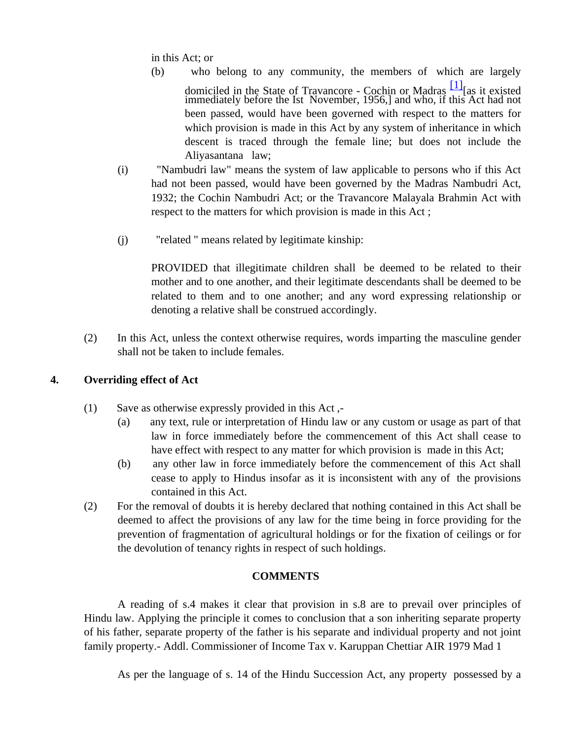in this Act; or

- (b) who belong to any community, the members of which are largely domiciled in the State of Travancore - Cochin or Madras  $\frac{[1]}{[1]}$  [as it existed immediately before the Ist November, 1956,] and who, if this Act had not been passed, would have been governed with respect to the matters for which provision is made in this Act by any system of inheritance in which descent is traced through the female line; but does not include the Aliyasantana law;
- (i) "Nambudri law" means the system of law applicable to persons who if this Act had not been passed, would have been governed by the Madras Nambudri Act, 1932; the Cochin Nambudri Act; or the Travancore Malayala Brahmin Act with respect to the matters for which provision is made in this Act ;
- (j) "related " means related by legitimate kinship:

PROVIDED that illegitimate children shall be deemed to be related to their mother and to one another, and their legitimate descendants shall be deemed to be related to them and to one another; and any word expressing relationship or denoting a relative shall be construed accordingly.

(2) In this Act, unless the context otherwise requires, words imparting the masculine gender shall not be taken to include females.

## **4. Overriding effect of Act**

- (1) Save as otherwise expressly provided in this Act ,-
	- (a) any text, rule or interpretation of Hindu law or any custom or usage as part of that law in force immediately before the commencement of this Act shall cease to have effect with respect to any matter for which provision is made in this Act;
	- (b) any other law in force immediately before the commencement of this Act shall cease to apply to Hindus insofar as it is inconsistent with any of the provisions contained in this Act.
- (2) For the removal of doubts it is hereby declared that nothing contained in this Act shall be deemed to affect the provisions of any law for the time being in force providing for the prevention of fragmentation of agricultural holdings or for the fixation of ceilings or for the devolution of tenancy rights in respect of such holdings.

## **COMMENTS**

A reading of s.4 makes it clear that provision in s.8 are to prevail over principles of Hindu law. Applying the principle it comes to conclusion that a son inheriting separate property of his father, separate property of the father is his separate and individual property and not joint family property.- Addl. Commissioner of Income Tax v. Karuppan Chettiar AIR 1979 Mad 1

As per the language of s. 14 of the Hindu Succession Act, any property possessed by a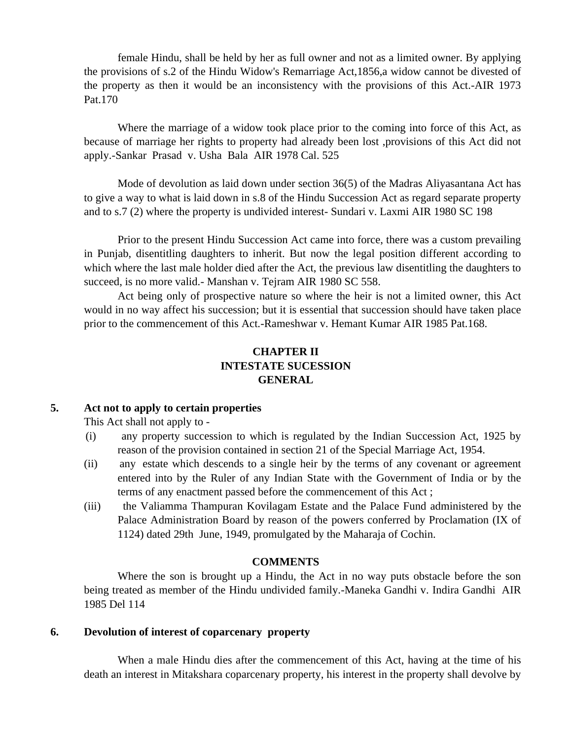female Hindu, shall be held by her as full owner and not as a limited owner. By applying the provisions of s.2 of the Hindu Widow's Remarriage Act,1856,a widow cannot be divested of the property as then it would be an inconsistency with the provisions of this Act.-AIR 1973 Pat.170

Where the marriage of a widow took place prior to the coming into force of this Act, as because of marriage her rights to property had already been lost ,provisions of this Act did not apply.-Sankar Prasad v. Usha Bala AIR 1978 Cal. 525

Mode of devolution as laid down under section 36(5) of the Madras Aliyasantana Act has to give a way to what is laid down in s.8 of the Hindu Succession Act as regard separate property and to s.7 (2) where the property is undivided interest- Sundari v. Laxmi AIR 1980 SC 198

Prior to the present Hindu Succession Act came into force, there was a custom prevailing in Punjab, disentitling daughters to inherit. But now the legal position different according to which where the last male holder died after the Act, the previous law disentitling the daughters to succeed, is no more valid.- Manshan v. Tejram AIR 1980 SC 558.

Act being only of prospective nature so where the heir is not a limited owner, this Act would in no way affect his succession; but it is essential that succession should have taken place prior to the commencement of this Act.-Rameshwar v. Hemant Kumar AIR 1985 Pat.168.

# **CHAPTER II INTESTATE SUCESSION GENERAL**

## **5. Act not to apply to certain properties**

This Act shall not apply to -

- (i) any property succession to which is regulated by the Indian Succession Act, 1925 by reason of the provision contained in section 21 of the Special Marriage Act, 1954.
- (ii) any estate which descends to a single heir by the terms of any covenant or agreement entered into by the Ruler of any Indian State with the Government of India or by the terms of any enactment passed before the commencement of this Act ;
- (iii) the Valiamma Thampuran Kovilagam Estate and the Palace Fund administered by the Palace Administration Board by reason of the powers conferred by Proclamation (IX of 1124) dated 29th June, 1949, promulgated by the Maharaja of Cochin.

### **COMMENTS**

Where the son is brought up a Hindu, the Act in no way puts obstacle before the son being treated as member of the Hindu undivided family.-Maneka Gandhi v. Indira Gandhi AIR 1985 Del 114

### **6. Devolution of interest of coparcenary property**

When a male Hindu dies after the commencement of this Act, having at the time of his death an interest in Mitakshara coparcenary property, his interest in the property shall devolve by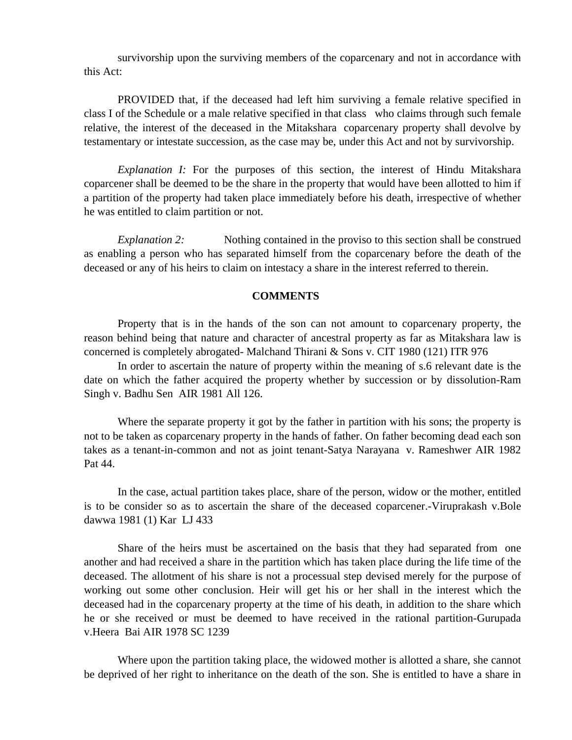survivorship upon the surviving members of the coparcenary and not in accordance with this Act:

PROVIDED that, if the deceased had left him surviving a female relative specified in class I of the Schedule or a male relative specified in that class who claims through such female relative, the interest of the deceased in the Mitakshara coparcenary property shall devolve by testamentary or intestate succession, as the case may be, under this Act and not by survivorship.

*Explanation I:* For the purposes of this section, the interest of Hindu Mitakshara coparcener shall be deemed to be the share in the property that would have been allotted to him if a partition of the property had taken place immediately before his death, irrespective of whether he was entitled to claim partition or not.

*Explanation 2:* Nothing contained in the proviso to this section shall be construed as enabling a person who has separated himself from the coparcenary before the death of the deceased or any of his heirs to claim on intestacy a share in the interest referred to therein.

#### **COMMENTS**

Property that is in the hands of the son can not amount to coparcenary property, the reason behind being that nature and character of ancestral property as far as Mitakshara law is concerned is completely abrogated- Malchand Thirani & Sons v. CIT 1980 (121) ITR 976

In order to ascertain the nature of property within the meaning of s.6 relevant date is the date on which the father acquired the property whether by succession or by dissolution-Ram Singh v. Badhu Sen AIR 1981 All 126.

Where the separate property it got by the father in partition with his sons; the property is not to be taken as coparcenary property in the hands of father. On father becoming dead each son takes as a tenant-in-common and not as joint tenant-Satya Narayana v. Rameshwer AIR 1982 Pat 44.

In the case, actual partition takes place, share of the person, widow or the mother, entitled is to be consider so as to ascertain the share of the deceased coparcener.-Viruprakash v.Bole dawwa 1981 (1) Kar LJ 433

Share of the heirs must be ascertained on the basis that they had separated from one another and had received a share in the partition which has taken place during the life time of the deceased. The allotment of his share is not a processual step devised merely for the purpose of working out some other conclusion. Heir will get his or her shall in the interest which the deceased had in the coparcenary property at the time of his death, in addition to the share which he or she received or must be deemed to have received in the rational partition-Gurupada v.Heera Bai AIR 1978 SC 1239

Where upon the partition taking place, the widowed mother is allotted a share, she cannot be deprived of her right to inheritance on the death of the son. She is entitled to have a share in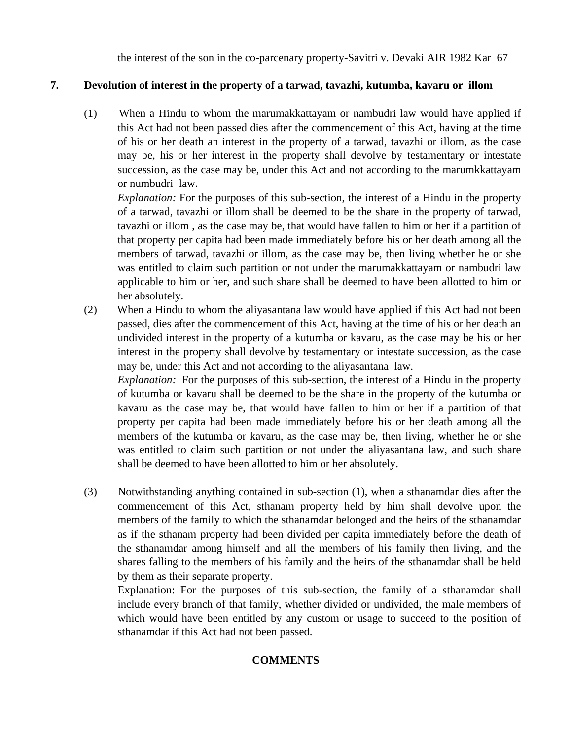the interest of the son in the co-parcenary property-Savitri v. Devaki AIR 1982 Kar 67

# **7. Devolution of interest in the property of a tarwad, tavazhi, kutumba, kavaru or illom**

(1) When a Hindu to whom the marumakkattayam or nambudri law would have applied if this Act had not been passed dies after the commencement of this Act, having at the time of his or her death an interest in the property of a tarwad, tavazhi or illom, as the case may be, his or her interest in the property shall devolve by testamentary or intestate succession, as the case may be, under this Act and not according to the marumkkattayam or numbudri law.

*Explanation:* For the purposes of this sub-section, the interest of a Hindu in the property of a tarwad, tavazhi or illom shall be deemed to be the share in the property of tarwad, tavazhi or illom , as the case may be, that would have fallen to him or her if a partition of that property per capita had been made immediately before his or her death among all the members of tarwad, tavazhi or illom, as the case may be, then living whether he or she was entitled to claim such partition or not under the marumakkattayam or nambudri law applicable to him or her, and such share shall be deemed to have been allotted to him or her absolutely.

(2) When a Hindu to whom the aliyasantana law would have applied if this Act had not been passed, dies after the commencement of this Act, having at the time of his or her death an undivided interest in the property of a kutumba or kavaru, as the case may be his or her interest in the property shall devolve by testamentary or intestate succession, as the case may be, under this Act and not according to the aliyasantana law.

*Explanation:* For the purposes of this sub-section, the interest of a Hindu in the property of kutumba or kavaru shall be deemed to be the share in the property of the kutumba or kavaru as the case may be, that would have fallen to him or her if a partition of that property per capita had been made immediately before his or her death among all the members of the kutumba or kavaru, as the case may be, then living, whether he or she was entitled to claim such partition or not under the aliyasantana law, and such share shall be deemed to have been allotted to him or her absolutely.

(3) Notwithstanding anything contained in sub-section (1), when a sthanamdar dies after the commencement of this Act, sthanam property held by him shall devolve upon the members of the family to which the sthanamdar belonged and the heirs of the sthanamdar as if the sthanam property had been divided per capita immediately before the death of the sthanamdar among himself and all the members of his family then living, and the shares falling to the members of his family and the heirs of the sthanamdar shall be held by them as their separate property.

Explanation: For the purposes of this sub-section, the family of a sthanamdar shall include every branch of that family, whether divided or undivided, the male members of which would have been entitled by any custom or usage to succeed to the position of sthanamdar if this Act had not been passed.

# **COMMENTS**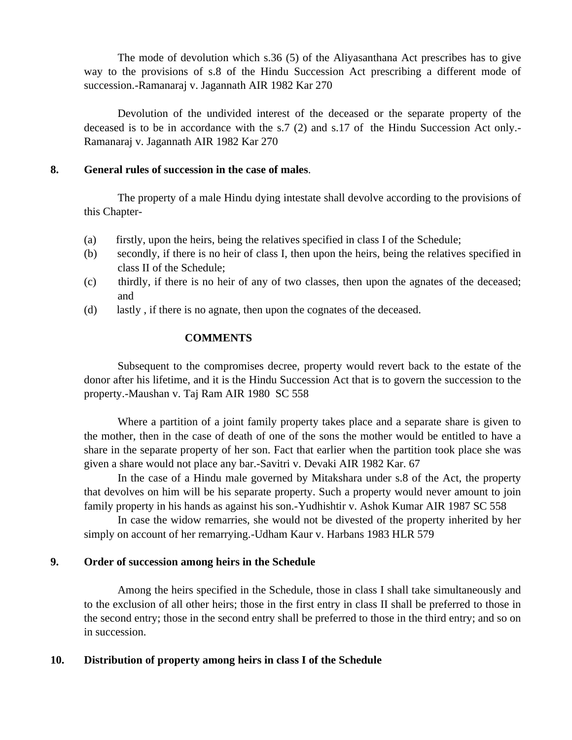The mode of devolution which s.36 (5) of the Aliyasanthana Act prescribes has to give way to the provisions of s.8 of the Hindu Succession Act prescribing a different mode of succession.-Ramanaraj v. Jagannath AIR 1982 Kar 270

Devolution of the undivided interest of the deceased or the separate property of the deceased is to be in accordance with the s.7 (2) and s.17 of the Hindu Succession Act only.- Ramanaraj v. Jagannath AIR 1982 Kar 270

## **8. General rules of succession in the case of males**.

The property of a male Hindu dying intestate shall devolve according to the provisions of this Chapter-

- (a) firstly, upon the heirs, being the relatives specified in class I of the Schedule;
- (b) secondly, if there is no heir of class I, then upon the heirs, being the relatives specified in class II of the Schedule;
- (c) thirdly, if there is no heir of any of two classes, then upon the agnates of the deceased; and
- (d) lastly , if there is no agnate, then upon the cognates of the deceased.

### **COMMENTS**

Subsequent to the compromises decree, property would revert back to the estate of the donor after his lifetime, and it is the Hindu Succession Act that is to govern the succession to the property.-Maushan v. Taj Ram AIR 1980 SC 558

Where a partition of a joint family property takes place and a separate share is given to the mother, then in the case of death of one of the sons the mother would be entitled to have a share in the separate property of her son. Fact that earlier when the partition took place she was given a share would not place any bar.-Savitri v. Devaki AIR 1982 Kar. 67

In the case of a Hindu male governed by Mitakshara under s.8 of the Act, the property that devolves on him will be his separate property. Such a property would never amount to join family property in his hands as against his son.-Yudhishtir v. Ashok Kumar AIR 1987 SC 558

In case the widow remarries, she would not be divested of the property inherited by her simply on account of her remarrying.-Udham Kaur v. Harbans 1983 HLR 579

## **9. Order of succession among heirs in the Schedule**

Among the heirs specified in the Schedule, those in class I shall take simultaneously and to the exclusion of all other heirs; those in the first entry in class II shall be preferred to those in the second entry; those in the second entry shall be preferred to those in the third entry; and so on in succession.

## **10. Distribution of property among heirs in class I of the Schedule**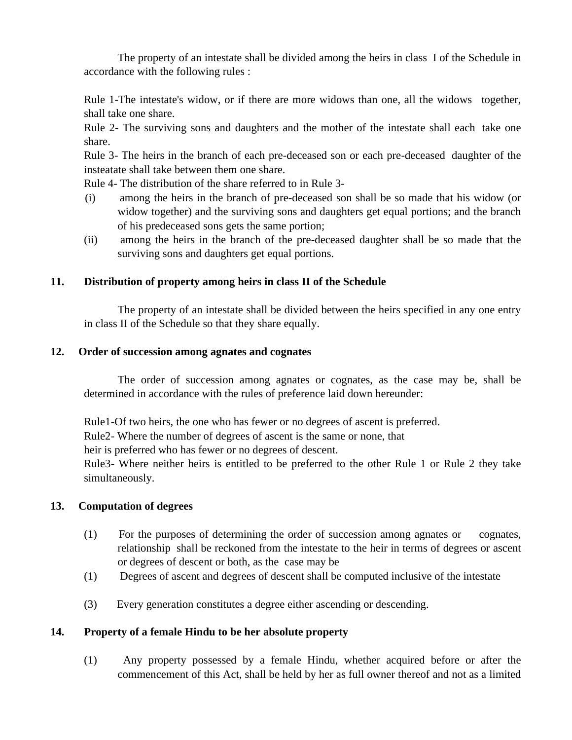The property of an intestate shall be divided among the heirs in class I of the Schedule in accordance with the following rules :

Rule 1-The intestate's widow, or if there are more widows than one, all the widows together, shall take one share.

Rule 2- The surviving sons and daughters and the mother of the intestate shall each take one share.

Rule 3- The heirs in the branch of each pre-deceased son or each pre-deceased daughter of the insteatate shall take between them one share.

Rule 4- The distribution of the share referred to in Rule 3-

- (i) among the heirs in the branch of pre-deceased son shall be so made that his widow (or widow together) and the surviving sons and daughters get equal portions; and the branch of his predeceased sons gets the same portion;
- (ii) among the heirs in the branch of the pre-deceased daughter shall be so made that the surviving sons and daughters get equal portions.

## **11. Distribution of property among heirs in class II of the Schedule**

The property of an intestate shall be divided between the heirs specified in any one entry in class II of the Schedule so that they share equally.

## **12. Order of succession among agnates and cognates**

The order of succession among agnates or cognates, as the case may be, shall be determined in accordance with the rules of preference laid down hereunder:

Rule1-Of two heirs, the one who has fewer or no degrees of ascent is preferred.

Rule2- Where the number of degrees of ascent is the same or none, that

heir is preferred who has fewer or no degrees of descent.

Rule3- Where neither heirs is entitled to be preferred to the other Rule 1 or Rule 2 they take simultaneously.

## **13. Computation of degrees**

- (1) For the purposes of determining the order of succession among agnates or cognates, relationship shall be reckoned from the intestate to the heir in terms of degrees or ascent or degrees of descent or both, as the case may be
- (1) Degrees of ascent and degrees of descent shall be computed inclusive of the intestate
- (3) Every generation constitutes a degree either ascending or descending.

## **14. Property of a female Hindu to be her absolute property**

(1) Any property possessed by a female Hindu, whether acquired before or after the commencement of this Act, shall be held by her as full owner thereof and not as a limited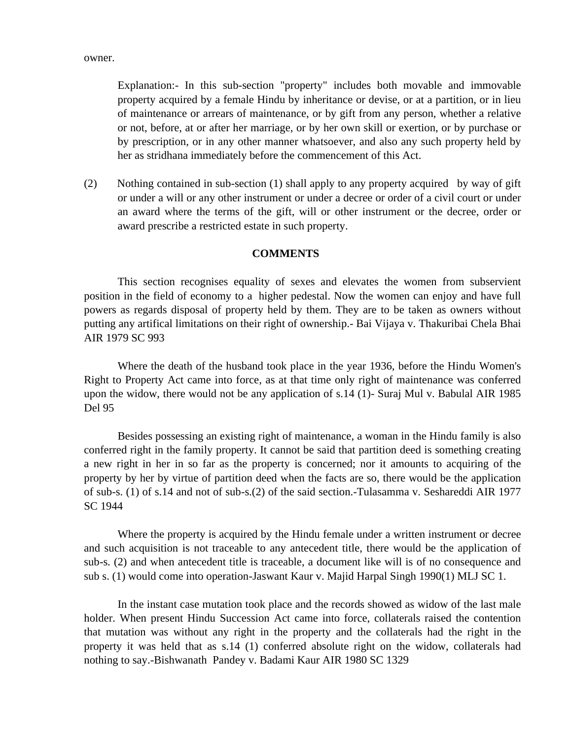owner.

Explanation:- In this sub-section "property" includes both movable and immovable property acquired by a female Hindu by inheritance or devise, or at a partition, or in lieu of maintenance or arrears of maintenance, or by gift from any person, whether a relative or not, before, at or after her marriage, or by her own skill or exertion, or by purchase or by prescription, or in any other manner whatsoever, and also any such property held by her as stridhana immediately before the commencement of this Act.

(2) Nothing contained in sub-section (1) shall apply to any property acquired by way of gift or under a will or any other instrument or under a decree or order of a civil court or under an award where the terms of the gift, will or other instrument or the decree, order or award prescribe a restricted estate in such property.

## **COMMENTS**

This section recognises equality of sexes and elevates the women from subservient position in the field of economy to a higher pedestal. Now the women can enjoy and have full powers as regards disposal of property held by them. They are to be taken as owners without putting any artifical limitations on their right of ownership.- Bai Vijaya v. Thakuribai Chela Bhai AIR 1979 SC 993

Where the death of the husband took place in the year 1936, before the Hindu Women's Right to Property Act came into force, as at that time only right of maintenance was conferred upon the widow, there would not be any application of s.14 (1)- Suraj Mul v. Babulal AIR 1985 Del 95

Besides possessing an existing right of maintenance, a woman in the Hindu family is also conferred right in the family property. It cannot be said that partition deed is something creating a new right in her in so far as the property is concerned; nor it amounts to acquiring of the property by her by virtue of partition deed when the facts are so, there would be the application of sub-s. (1) of s.14 and not of sub-s.(2) of the said section.-Tulasamma v. Seshareddi AIR 1977 SC 1944

Where the property is acquired by the Hindu female under a written instrument or decree and such acquisition is not traceable to any antecedent title, there would be the application of sub-s. (2) and when antecedent title is traceable, a document like will is of no consequence and sub s. (1) would come into operation-Jaswant Kaur v. Majid Harpal Singh 1990(1) MLJ SC 1.

In the instant case mutation took place and the records showed as widow of the last male holder. When present Hindu Succession Act came into force, collaterals raised the contention that mutation was without any right in the property and the collaterals had the right in the property it was held that as s.14 (1) conferred absolute right on the widow, collaterals had nothing to say.-Bishwanath Pandey v. Badami Kaur AIR 1980 SC 1329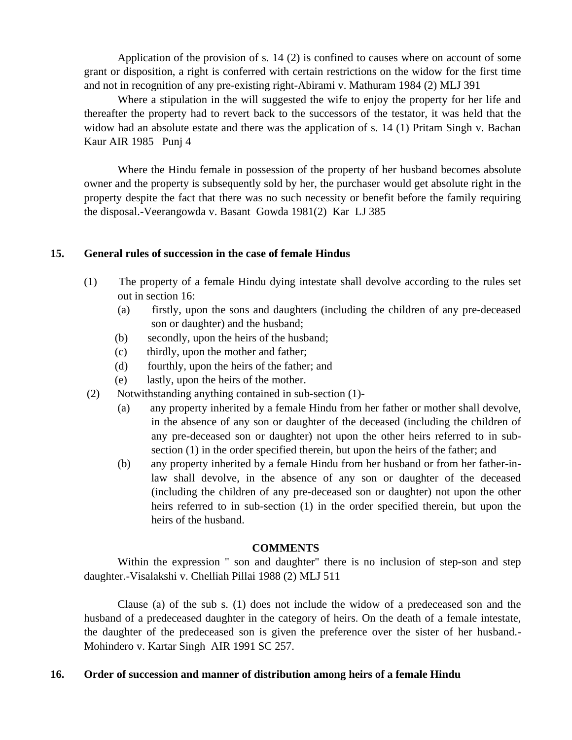Application of the provision of s. 14 (2) is confined to causes where on account of some grant or disposition, a right is conferred with certain restrictions on the widow for the first time and not in recognition of any pre-existing right-Abirami v. Mathuram 1984 (2) MLJ 391

Where a stipulation in the will suggested the wife to enjoy the property for her life and thereafter the property had to revert back to the successors of the testator, it was held that the widow had an absolute estate and there was the application of s. 14 (1) Pritam Singh v. Bachan Kaur AIR 1985 Punj 4

Where the Hindu female in possession of the property of her husband becomes absolute owner and the property is subsequently sold by her, the purchaser would get absolute right in the property despite the fact that there was no such necessity or benefit before the family requiring the disposal.-Veerangowda v. Basant Gowda 1981(2) Kar LJ 385

### **15. General rules of succession in the case of female Hindus**

- (1) The property of a female Hindu dying intestate shall devolve according to the rules set out in section 16:
	- (a) firstly, upon the sons and daughters (including the children of any pre-deceased son or daughter) and the husband;
	- (b) secondly, upon the heirs of the husband;
	- (c) thirdly, upon the mother and father;
	- (d) fourthly, upon the heirs of the father; and
	- (e) lastly, upon the heirs of the mother.
- (2) Notwithstanding anything contained in sub-section (1)-
	- (a) any property inherited by a female Hindu from her father or mother shall devolve, in the absence of any son or daughter of the deceased (including the children of any pre-deceased son or daughter) not upon the other heirs referred to in subsection (1) in the order specified therein, but upon the heirs of the father; and
	- (b) any property inherited by a female Hindu from her husband or from her father-inlaw shall devolve, in the absence of any son or daughter of the deceased (including the children of any pre-deceased son or daughter) not upon the other heirs referred to in sub-section (1) in the order specified therein, but upon the heirs of the husband.

### **COMMENTS**

Within the expression " son and daughter" there is no inclusion of step-son and step daughter.-Visalakshi v. Chelliah Pillai 1988 (2) MLJ 511

Clause (a) of the sub s. (1) does not include the widow of a predeceased son and the husband of a predeceased daughter in the category of heirs. On the death of a female intestate, the daughter of the predeceased son is given the preference over the sister of her husband.- Mohindero v. Kartar Singh AIR 1991 SC 257.

## **16. Order of succession and manner of distribution among heirs of a female Hindu**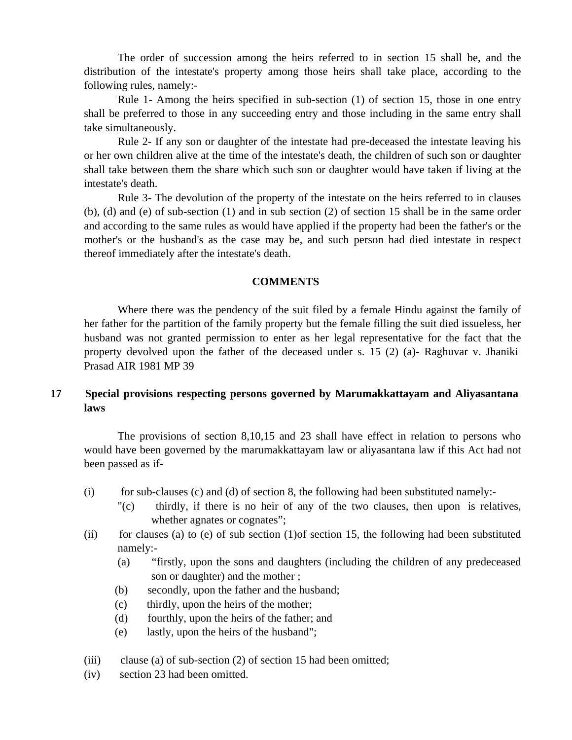The order of succession among the heirs referred to in section 15 shall be, and the distribution of the intestate's property among those heirs shall take place, according to the following rules, namely:-

Rule 1- Among the heirs specified in sub-section (1) of section 15, those in one entry shall be preferred to those in any succeeding entry and those including in the same entry shall take simultaneously.

Rule 2- If any son or daughter of the intestate had pre-deceased the intestate leaving his or her own children alive at the time of the intestate's death, the children of such son or daughter shall take between them the share which such son or daughter would have taken if living at the intestate's death.

Rule 3- The devolution of the property of the intestate on the heirs referred to in clauses (b), (d) and (e) of sub-section (1) and in sub section (2) of section 15 shall be in the same order and according to the same rules as would have applied if the property had been the father's or the mother's or the husband's as the case may be, and such person had died intestate in respect thereof immediately after the intestate's death.

#### **COMMENTS**

Where there was the pendency of the suit filed by a female Hindu against the family of her father for the partition of the family property but the female filling the suit died issueless, her husband was not granted permission to enter as her legal representative for the fact that the property devolved upon the father of the deceased under s. 15 (2) (a)- Raghuvar v. Jhaniki Prasad AIR 1981 MP 39

## **17 Special provisions respecting persons governed by Marumakkattayam and Aliyasantana laws**

The provisions of section 8,10,15 and 23 shall have effect in relation to persons who would have been governed by the marumakkattayam law or aliyasantana law if this Act had not been passed as if-

- (i) for sub-clauses (c) and (d) of section 8, the following had been substituted namely:-
	- "(c) thirdly, if there is no heir of any of the two clauses, then upon is relatives, whether agnates or cognates";
- (ii) for clauses (a) to (e) of sub section  $(1)$  of section 15, the following had been substituted namely:-
	- (a) "firstly, upon the sons and daughters (including the children of any predeceased son or daughter) and the mother ;
	- (b) secondly, upon the father and the husband;
	- (c) thirdly, upon the heirs of the mother;
	- (d) fourthly, upon the heirs of the father; and
	- (e) lastly, upon the heirs of the husband";
- (iii) clause (a) of sub-section (2) of section 15 had been omitted;
- (iv) section 23 had been omitted.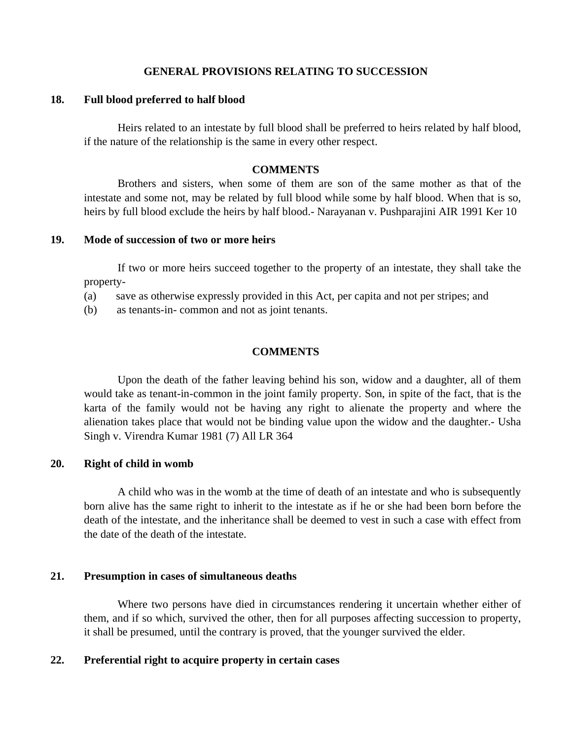### **GENERAL PROVISIONS RELATING TO SUCCESSION**

#### **18. Full blood preferred to half blood**

Heirs related to an intestate by full blood shall be preferred to heirs related by half blood, if the nature of the relationship is the same in every other respect.

## **COMMENTS**

Brothers and sisters, when some of them are son of the same mother as that of the intestate and some not, may be related by full blood while some by half blood. When that is so, heirs by full blood exclude the heirs by half blood.- Narayanan v. Pushparajini AIR 1991 Ker 10

#### **19. Mode of succession of two or more heirs**

If two or more heirs succeed together to the property of an intestate, they shall take the property-

- (a) save as otherwise expressly provided in this Act, per capita and not per stripes; and
- (b) as tenants-in- common and not as joint tenants.

### **COMMENTS**

Upon the death of the father leaving behind his son, widow and a daughter, all of them would take as tenant-in-common in the joint family property. Son, in spite of the fact, that is the karta of the family would not be having any right to alienate the property and where the alienation takes place that would not be binding value upon the widow and the daughter.- Usha Singh v. Virendra Kumar 1981 (7) All LR 364

## **20. Right of child in womb**

A child who was in the womb at the time of death of an intestate and who is subsequently born alive has the same right to inherit to the intestate as if he or she had been born before the death of the intestate, and the inheritance shall be deemed to vest in such a case with effect from the date of the death of the intestate.

## **21. Presumption in cases of simultaneous deaths**

Where two persons have died in circumstances rendering it uncertain whether either of them, and if so which, survived the other, then for all purposes affecting succession to property, it shall be presumed, until the contrary is proved, that the younger survived the elder.

## **22. Preferential right to acquire property in certain cases**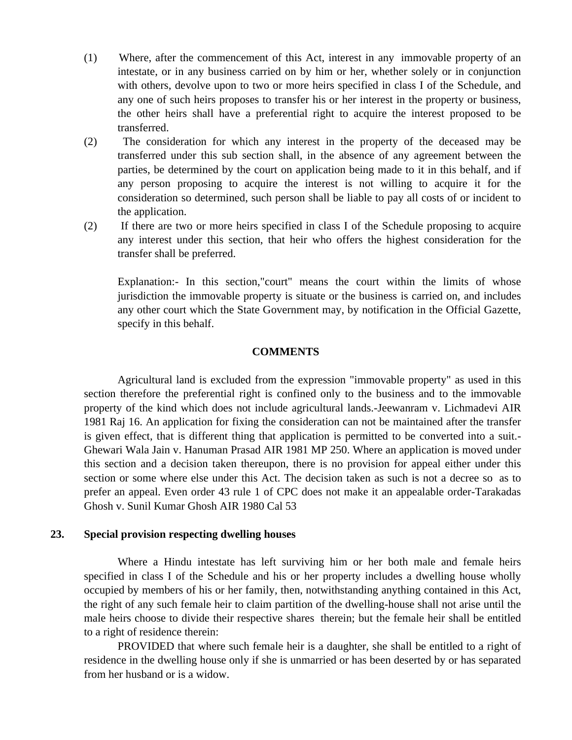- (1) Where, after the commencement of this Act, interest in any immovable property of an intestate, or in any business carried on by him or her, whether solely or in conjunction with others, devolve upon to two or more heirs specified in class I of the Schedule, and any one of such heirs proposes to transfer his or her interest in the property or business, the other heirs shall have a preferential right to acquire the interest proposed to be transferred.
- (2) The consideration for which any interest in the property of the deceased may be transferred under this sub section shall, in the absence of any agreement between the parties, be determined by the court on application being made to it in this behalf, and if any person proposing to acquire the interest is not willing to acquire it for the consideration so determined, such person shall be liable to pay all costs of or incident to the application.
- (2) If there are two or more heirs specified in class I of the Schedule proposing to acquire any interest under this section, that heir who offers the highest consideration for the transfer shall be preferred.

Explanation:- In this section,"court" means the court within the limits of whose jurisdiction the immovable property is situate or the business is carried on, and includes any other court which the State Government may, by notification in the Official Gazette, specify in this behalf.

### **COMMENTS**

Agricultural land is excluded from the expression "immovable property" as used in this section therefore the preferential right is confined only to the business and to the immovable property of the kind which does not include agricultural lands.-Jeewanram v. Lichmadevi AIR 1981 Raj 16. An application for fixing the consideration can not be maintained after the transfer is given effect, that is different thing that application is permitted to be converted into a suit.- Ghewari Wala Jain v. Hanuman Prasad AIR 1981 MP 250. Where an application is moved under this section and a decision taken thereupon, there is no provision for appeal either under this section or some where else under this Act. The decision taken as such is not a decree so as to prefer an appeal. Even order 43 rule 1 of CPC does not make it an appealable order-Tarakadas Ghosh v. Sunil Kumar Ghosh AIR 1980 Cal 53

#### **23. Special provision respecting dwelling houses**

Where a Hindu intestate has left surviving him or her both male and female heirs specified in class I of the Schedule and his or her property includes a dwelling house wholly occupied by members of his or her family, then, notwithstanding anything contained in this Act, the right of any such female heir to claim partition of the dwelling-house shall not arise until the male heirs choose to divide their respective shares therein; but the female heir shall be entitled to a right of residence therein:

PROVIDED that where such female heir is a daughter, she shall be entitled to a right of residence in the dwelling house only if she is unmarried or has been deserted by or has separated from her husband or is a widow.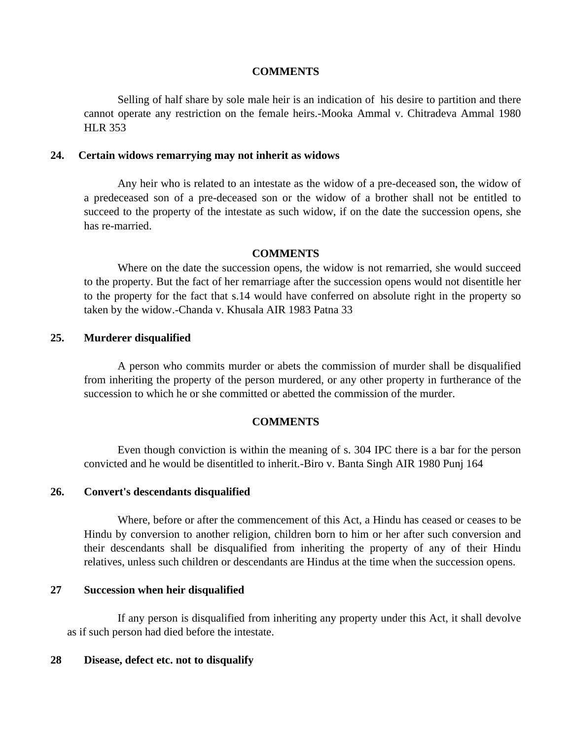#### **COMMENTS**

Selling of half share by sole male heir is an indication of his desire to partition and there cannot operate any restriction on the female heirs.-Mooka Ammal v. Chitradeva Ammal 1980 HLR 353

#### **24. Certain widows remarrying may not inherit as widows**

Any heir who is related to an intestate as the widow of a pre-deceased son, the widow of a predeceased son of a pre-deceased son or the widow of a brother shall not be entitled to succeed to the property of the intestate as such widow, if on the date the succession opens, she has re-married.

#### **COMMENTS**

Where on the date the succession opens, the widow is not remarried, she would succeed to the property. But the fact of her remarriage after the succession opens would not disentitle her to the property for the fact that s.14 would have conferred on absolute right in the property so taken by the widow.-Chanda v. Khusala AIR 1983 Patna 33

### **25. Murderer disqualified**

A person who commits murder or abets the commission of murder shall be disqualified from inheriting the property of the person murdered, or any other property in furtherance of the succession to which he or she committed or abetted the commission of the murder.

#### **COMMENTS**

Even though conviction is within the meaning of s. 304 IPC there is a bar for the person convicted and he would be disentitled to inherit.-Biro v. Banta Singh AIR 1980 Punj 164

#### **26. Convert's descendants disqualified**

Where, before or after the commencement of this Act, a Hindu has ceased or ceases to be Hindu by conversion to another religion, children born to him or her after such conversion and their descendants shall be disqualified from inheriting the property of any of their Hindu relatives, unless such children or descendants are Hindus at the time when the succession opens.

#### **27 Succession when heir disqualified**

If any person is disqualified from inheriting any property under this Act, it shall devolve as if such person had died before the intestate.

#### **28 Disease, defect etc. not to disqualify**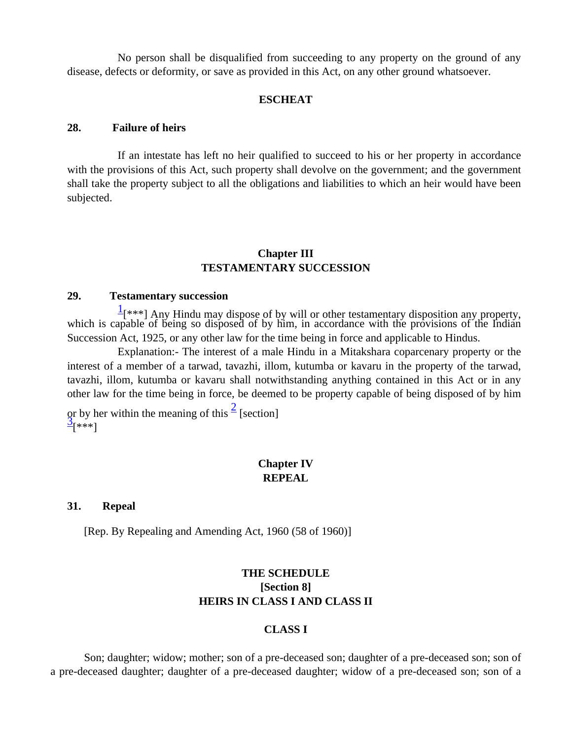No person shall be disqualified from succeeding to any property on the ground of any disease, defects or deformity, or save as provided in this Act, on any other ground whatsoever.

#### **ESCHEAT**

#### **28. Failure of heirs**

If an intestate has left no heir qualified to succeed to his or her property in accordance with the provisions of this Act, such property shall devolve on the government; and the government shall take the property subject to all the obligations and liabilities to which an heir would have been subjected.

## **Chapter III TESTAMENTARY SUCCESSION**

### **29. Testamentary succession**

 $\frac{1}{2}$ [\*\*\*] Any Hindu may dispose of by will or other testamentary disposition any property, which is capable of being so disposed of by him, in accordance with the provisions of the Indian Succession Act, 1925, or any other law for the time being in force and applicable to Hindus.

Explanation:- The interest of a male Hindu in a Mitakshara coparcenary property or the interest of a member of a tarwad, tavazhi, illom, kutumba or kavaru in the property of the tarwad, tavazhi, illom, kutumba or kavaru shall notwithstanding anything contained in this Act or in any other law for the time being in force, be deemed to be property capable of being disposed of by him or by her within the meaning of this  $\frac{2}{3}$  [section]  $\frac{3}{2}$ [\*\*\*]

# **Chapter IV REPEAL**

#### **31. Repeal**

[Rep. By Repealing and Amending Act, 1960 (58 of 1960)]

# **THE SCHEDULE [Section 8] HEIRS IN CLASS I AND CLASS II**

#### **CLASS I**

 Son; daughter; widow; mother; son of a pre-deceased son; daughter of a pre-deceased son; son of a pre-deceased daughter; daughter of a pre-deceased daughter; widow of a pre-deceased son; son of a